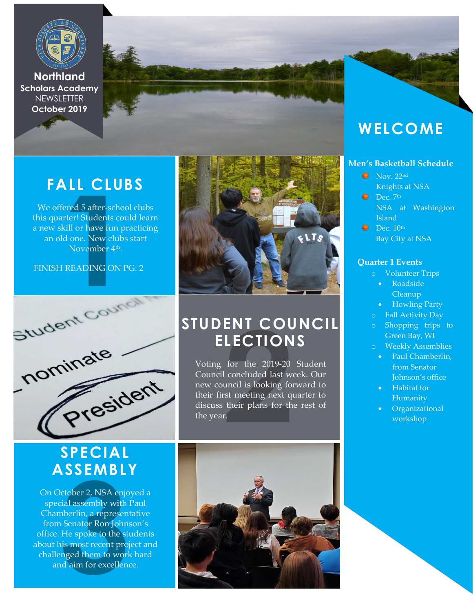

**Northland Scholars Academy NEWSLETTER October 2019**

# **FALL CLUBS**

We offered 5 after-school clubs this quarter! Students could learn a new skill or have fun practicing an old one. New clubs start Novembe<mark>r</mark> 4<sup>th</sup>.

FINISH READING ON PG. 2



## **SPECIAL ASSEMBLY**

On October 2, NSA enjoyed a special assembly with Paul Chamberlin, a representative from Senator Ron Johnson's office. He spoke to the students about his most recent project and challenged them to work hard and aim for excellence.



## **STUDENT COUNCIL ELECTIONS**

Voting for the 2019-20 Student Council concluded last week. Our new council is looking forward to their first meeting next quarter to discuss their plans for the rest of the year.



## **WELCOME**

### **Men's Basketball Schedule**

- $\bullet$  Nov. 22nd Knights at NSA
- $\bullet$  Dec.  $7<sup>th</sup>$ NSA at Washington Island
- $\bullet$  Dec.  $10^{\text{th}}$ Bay City at NSA

### **Quarter 1 Events**

- o Volunteer Trips
	- Roadside Cleanup
	- Howling Party
	- Fall Activity Day
- o Shopping trips to Green Bay, WI
- o Weekly Assemblies
	- Paul Chamberlin, from Senator Johnson's office
	- Habitat for Humanity
	- Organizational workshop